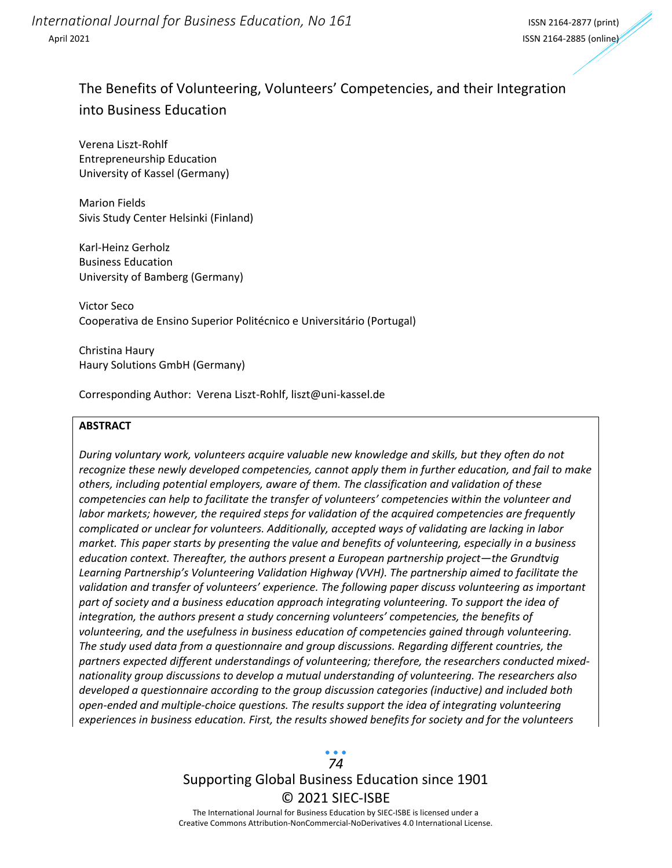*International Journal for Business Education, No 161* International ISSN 2164-2877 (print) April 2021 ISSN 2164-2885 (online)

## The Benefits of Volunteering, Volunteers' Competencies, and their Integration into Business Education

Verena Liszt-Rohlf Entrepreneurship Education University of Kassel (Germany)

Marion Fields Sivis Study Center Helsinki (Finland)

Karl-Heinz Gerholz Business Education University of Bamberg (Germany)

Victor Seco Cooperativa de Ensino Superior Politécnico e Universitário (Portugal)

Christina Haury Haury Solutions GmbH (Germany)

Corresponding Author: Verena Liszt-Rohlf, liszt@uni-kassel.de

#### **ABSTRACT**

*During voluntary work, volunteers acquire valuable new knowledge and skills, but they often do not recognize these newly developed competencies, cannot apply them in further education, and fail to make others, including potential employers, aware of them. The classification and validation of these competencies can help to facilitate the transfer of volunteers' competencies within the volunteer and labor markets; however, the required steps for validation of the acquired competencies are frequently complicated or unclear for volunteers. Additionally, accepted ways of validating are lacking in labor market. This paper starts by presenting the value and benefits of volunteering, especially in a business education context. Thereafter, the authors present a European partnership project—the Grundtvig Learning Partnership's Volunteering Validation Highway (VVH). The partnership aimed to facilitate the validation and transfer of volunteers' experience. The following paper discuss volunteering as important part of society and a business education approach integrating volunteering. To support the idea of integration, the authors present a study concerning volunteers' competencies, the benefits of volunteering, and the usefulness in business education of competencies gained through volunteering. The study used data from a questionnaire and group discussions. Regarding different countries, the partners expected different understandings of volunteering; therefore, the researchers conducted mixednationality group discussions to develop a mutual understanding of volunteering. The researchers also developed a questionnaire according to the group discussion categories (inductive) and included both open-ended and multiple-choice questions. The results support the idea of integrating volunteering experiences in business education. First, the results showed benefits for society and for the volunteers* 

# Supporting Global Business Education since 1901 © 2021 SIEC-ISBE *74*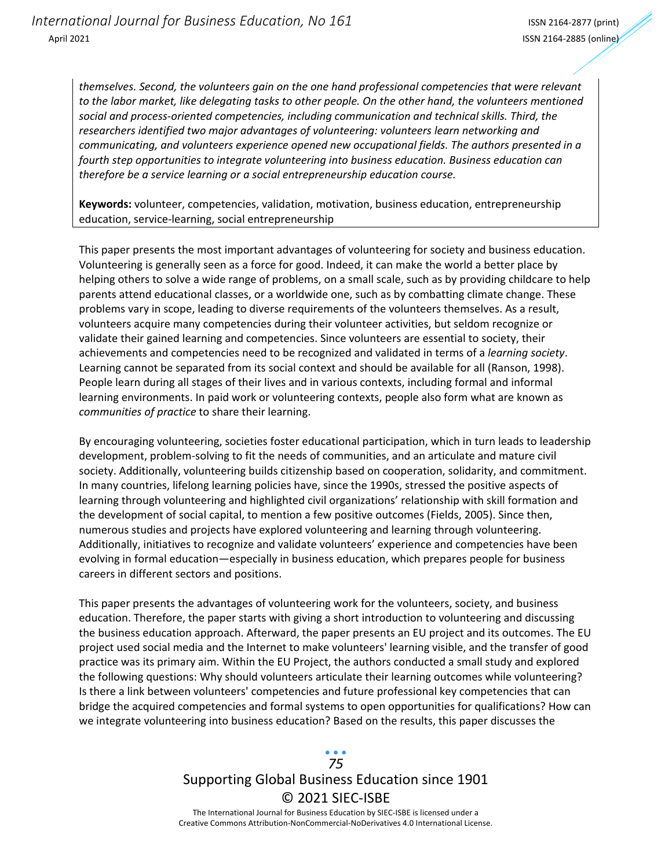*themselves. Second, the volunteers gain on the one hand professional competencies that were relevant to the labor market, like delegating tasks to other people. On the other hand, the volunteers mentioned social and process-oriented competencies, including communication and technical skills. Third, the researchers identified two major advantages of volunteering: volunteers learn networking and communicating, and volunteers experience opened new occupational fields. The authors presented in a fourth step opportunities to integrate volunteering into business education. Business education can therefore be a service learning or a social entrepreneurship education course.*

**Keywords:** volunteer, competencies, validation, motivation, business education, entrepreneurship education, service-learning, social entrepreneurship

This paper presents the most important advantages of volunteering for society and business education. Volunteering is generally seen as a force for good. Indeed, it can make the world a better place by helping others to solve a wide range of problems, on a small scale, such as by providing childcare to help parents attend educational classes, or a worldwide one, such as by combatting climate change. These problems vary in scope, leading to diverse requirements of the volunteers themselves. As a result, volunteers acquire many competencies during their volunteer activities, but seldom recognize or validate their gained learning and competencies. Since volunteers are essential to society, their achievements and competencies need to be recognized and validated in terms of a *learning society*. Learning cannot be separated from its social context and should be available for all (Ranson, 1998). People learn during all stages of their lives and in various contexts, including formal and informal learning environments. In paid work or volunteering contexts, people also form what are known as *communities of practice* to share their learning.

By encouraging volunteering, societies foster educational participation, which in turn leads to leadership development, problem-solving to fit the needs of communities, and an articulate and mature civil society. Additionally, volunteering builds citizenship based on cooperation, solidarity, and commitment. In many countries, lifelong learning policies have, since the 1990s, stressed the positive aspects of learning through volunteering and highlighted civil organizations' relationship with skill formation and the development of social capital, to mention a few positive outcomes (Fields, 2005). Since then, numerous studies and projects have explored volunteering and learning through volunteering. Additionally, initiatives to recognize and validate volunteers' experience and competencies have been evolving in formal education—especially in business education, which prepares people for business careers in different sectors and positions.

This paper presents the advantages of volunteering work for the volunteers, society, and business education. Therefore, the paper starts with giving a short introduction to volunteering and discussing the business education approach. Afterward, the paper presents an EU project and its outcomes. The EU project used social media and the Internet to make volunteers' learning visible, and the transfer of good practice was its primary aim. Within the EU Project, the authors conducted a small study and explored the following questions: Why should volunteers articulate their learning outcomes while volunteering? Is there a link between volunteers' competencies and future professional key competencies that can bridge the acquired competencies and formal systems to open opportunities for qualifications? How can we integrate volunteering into business education? Based on the results, this paper discusses the

## Supporting Global Business Education since 1901 © 2021 SIEC-ISBE The International Journal for Business Education by SIEC-ISBE is licensed under a *75*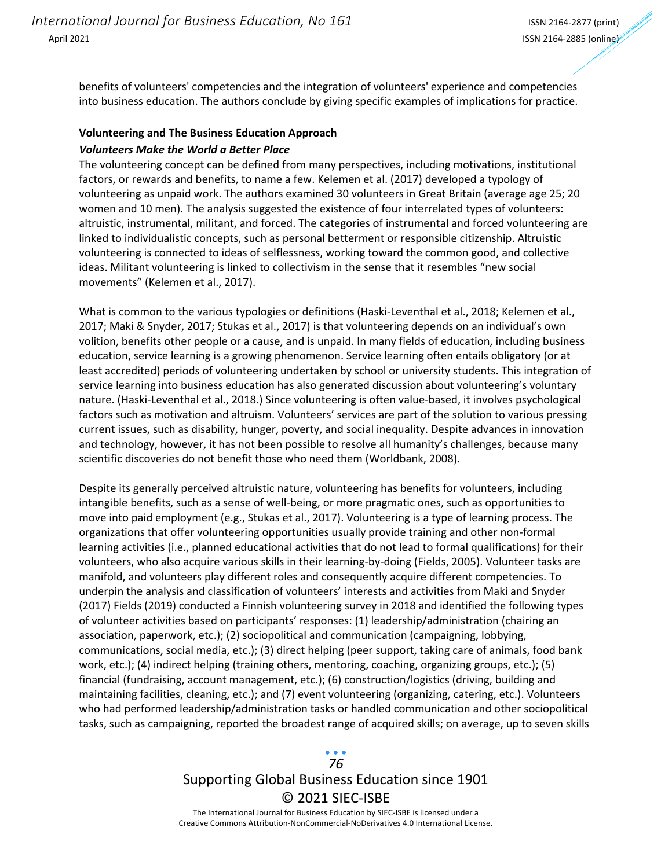benefits of volunteers' competencies and the integration of volunteers' experience and competencies into business education. The authors conclude by giving specific examples of implications for practice.

#### **Volunteering and The Business Education Approach**

#### *Volunteers Make the World a Better Place*

The volunteering concept can be defined from many perspectives, including motivations, institutional factors, or rewards and benefits, to name a few. Kelemen et al. (2017) developed a typology of volunteering as unpaid work. The authors examined 30 volunteers in Great Britain (average age 25; 20 women and 10 men). The analysis suggested the existence of four interrelated types of volunteers: altruistic, instrumental, militant, and forced. The categories of instrumental and forced volunteering are linked to individualistic concepts, such as personal betterment or responsible citizenship. Altruistic volunteering is connected to ideas of selflessness, working toward the common good, and collective ideas. Militant volunteering is linked to collectivism in the sense that it resembles "new social movements" (Kelemen et al., 2017).

What is common to the various typologies or definitions (Haski-Leventhal et al., 2018; Kelemen et al., 2017; Maki & Snyder, 2017; Stukas et al., 2017) is that volunteering depends on an individual's own volition, benefits other people or a cause, and is unpaid. In many fields of education, including business education, service learning is a growing phenomenon. Service learning often entails obligatory (or at least accredited) periods of volunteering undertaken by school or university students. This integration of service learning into business education has also generated discussion about volunteering's voluntary nature. (Haski-Leventhal et al., 2018.) Since volunteering is often value-based, it involves psychological factors such as motivation and altruism. Volunteers' services are part of the solution to various pressing current issues, such as disability, hunger, poverty, and social inequality. Despite advances in innovation and technology, however, it has not been possible to resolve all humanity's challenges, because many scientific discoveries do not benefit those who need them (Worldbank, 2008).

Despite its generally perceived altruistic nature, volunteering has benefits for volunteers, including intangible benefits, such as a sense of well-being, or more pragmatic ones, such as opportunities to move into paid employment (e.g., Stukas et al., 2017). Volunteering is a type of learning process. The organizations that offer volunteering opportunities usually provide training and other non-formal learning activities (i.e., planned educational activities that do not lead to formal qualifications) for their volunteers, who also acquire various skills in their learning-by-doing (Fields, 2005). Volunteer tasks are manifold, and volunteers play different roles and consequently acquire different competencies. To underpin the analysis and classification of volunteers' interests and activities from Maki and Snyder (2017) Fields (2019) conducted a Finnish volunteering survey in 2018 and identified the following types of volunteer activities based on participants' responses: (1) leadership/administration (chairing an association, paperwork, etc.); (2) sociopolitical and communication (campaigning, lobbying, communications, social media, etc.); (3) direct helping (peer support, taking care of animals, food bank work, etc.); (4) indirect helping (training others, mentoring, coaching, organizing groups, etc.); (5) financial (fundraising, account management, etc.); (6) construction/logistics (driving, building and maintaining facilities, cleaning, etc.); and (7) event volunteering (organizing, catering, etc.). Volunteers who had performed leadership/administration tasks or handled communication and other sociopolitical tasks, such as campaigning, reported the broadest range of acquired skills; on average, up to seven skills

# Supporting Global Business Education since 1901 © 2021 SIEC-ISBE *76*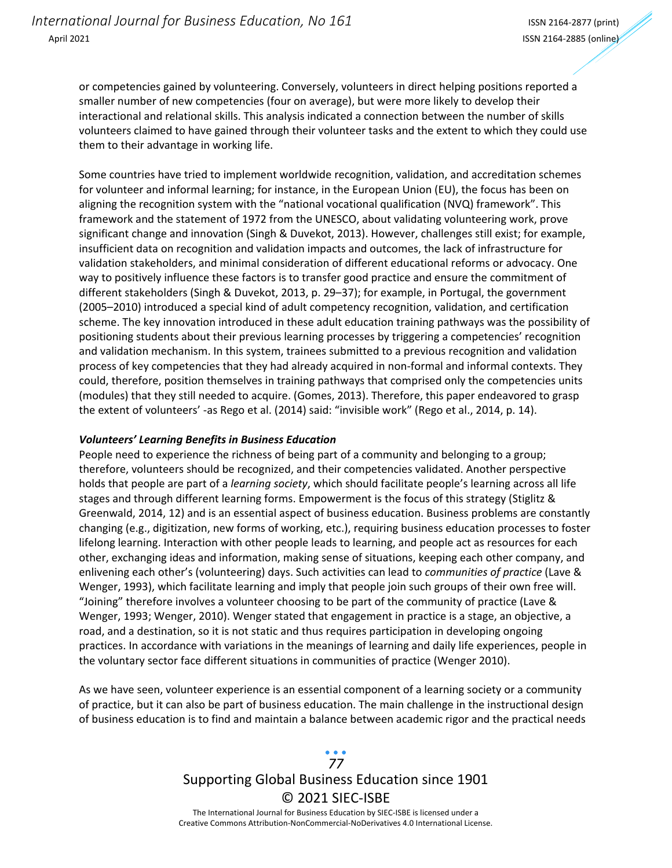or competencies gained by volunteering. Conversely, volunteers in direct helping positions reported a smaller number of new competencies (four on average), but were more likely to develop their interactional and relational skills. This analysis indicated a connection between the number of skills volunteers claimed to have gained through their volunteer tasks and the extent to which they could use them to their advantage in working life.

Some countries have tried to implement worldwide recognition, validation, and accreditation schemes for volunteer and informal learning; for instance, in the European Union (EU), the focus has been on aligning the recognition system with the "national vocational qualification (NVQ) framework". This framework and the statement of 1972 from the UNESCO, about validating volunteering work, prove significant change and innovation (Singh & Duvekot, 2013). However, challenges still exist; for example, insufficient data on recognition and validation impacts and outcomes, the lack of infrastructure for validation stakeholders, and minimal consideration of different educational reforms or advocacy. One way to positively influence these factors is to transfer good practice and ensure the commitment of different stakeholders (Singh & Duvekot, 2013, p. 29–37); for example, in Portugal, the government (2005–2010) introduced a special kind of adult competency recognition, validation, and certification scheme. The key innovation introduced in these adult education training pathways was the possibility of positioning students about their previous learning processes by triggering a competencies' recognition and validation mechanism. In this system, trainees submitted to a previous recognition and validation process of key competencies that they had already acquired in non-formal and informal contexts. They could, therefore, position themselves in training pathways that comprised only the competencies units (modules) that they still needed to acquire. (Gomes, 2013). Therefore, this paper endeavored to grasp the extent of volunteers' -as Rego et al. (2014) said: "invisible work" (Rego et al., 2014, p. 14).

#### *Volunteers' Learning Benefits in Business Education*

People need to experience the richness of being part of a community and belonging to a group; therefore, volunteers should be recognized, and their competencies validated. Another perspective holds that people are part of a *learning society*, which should facilitate people's learning across all life stages and through different learning forms. Empowerment is the focus of this strategy (Stiglitz & Greenwald, 2014, 12) and is an essential aspect of business education. Business problems are constantly changing (e.g., digitization, new forms of working, etc.), requiring business education processes to foster lifelong learning. Interaction with other people leads to learning, and people act as resources for each other, exchanging ideas and information, making sense of situations, keeping each other company, and enlivening each other's (volunteering) days. Such activities can lead to *communities of practice* (Lave & Wenger, 1993), which facilitate learning and imply that people join such groups of their own free will. "Joining" therefore involves a volunteer choosing to be part of the community of practice (Lave & Wenger, 1993; Wenger, 2010). Wenger stated that engagement in practice is a stage, an objective, a road, and a destination, so it is not static and thus requires participation in developing ongoing practices. In accordance with variations in the meanings of learning and daily life experiences, people in the voluntary sector face different situations in communities of practice (Wenger 2010).

As we have seen, volunteer experience is an essential component of a learning society or a community of practice, but it can also be part of business education. The main challenge in the instructional design of business education is to find and maintain a balance between academic rigor and the practical needs

## Supporting Global Business Education since 1901 © 2021 SIEC-ISBE The International Journal for Business Education by SIEC-ISBE is licensed under a *77*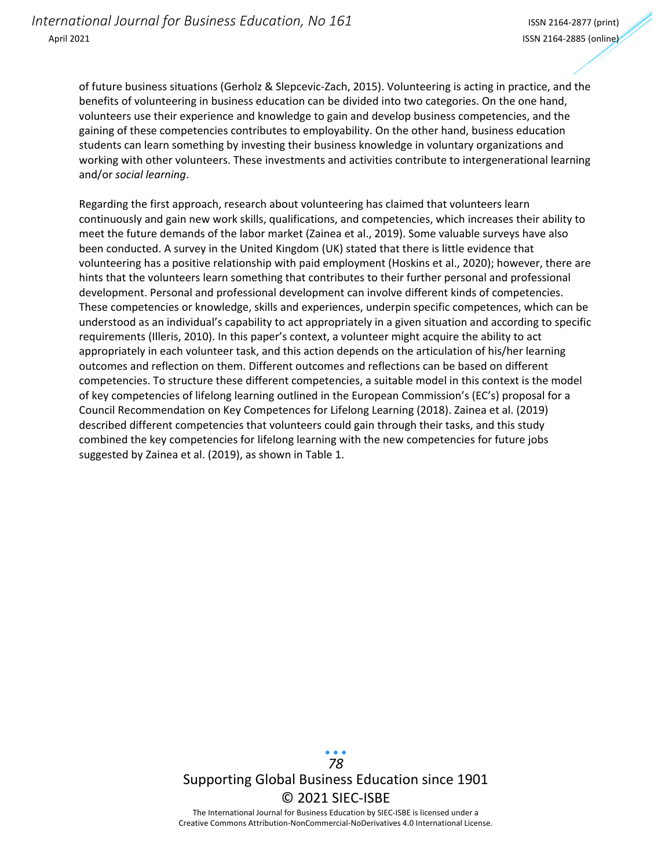of future business situations (Gerholz & Slepcevic-Zach, 2015). Volunteering is acting in practice, and the benefits of volunteering in business education can be divided into two categories. On the one hand, volunteers use their experience and knowledge to gain and develop business competencies, and the gaining of these competencies contributes to employability. On the other hand, business education students can learn something by investing their business knowledge in voluntary organizations and working with other volunteers. These investments and activities contribute to intergenerational learning and/or *social learning*.

Regarding the first approach, research about volunteering has claimed that volunteers learn continuously and gain new work skills, qualifications, and competencies, which increases their ability to meet the future demands of the labor market (Zainea et al., 2019). Some valuable surveys have also been conducted. A survey in the United Kingdom (UK) stated that there is little evidence that volunteering has a positive relationship with paid employment (Hoskins et al., 2020); however, there are hints that the volunteers learn something that contributes to their further personal and professional development. Personal and professional development can involve different kinds of competencies. These competencies or knowledge, skills and experiences, underpin specific competences, which can be understood as an individual's capability to act appropriately in a given situation and according to specific requirements (Illeris, 2010). In this paper's context, a volunteer might acquire the ability to act appropriately in each volunteer task, and this action depends on the articulation of his/her learning outcomes and reflection on them. Different outcomes and reflections can be based on different competencies. To structure these different competencies, a suitable model in this context is the model of key competencies of lifelong learning outlined in the European Commission's (EC's) proposal for a Council Recommendation on Key Competences for Lifelong Learning (2018). Zainea et al. (2019) described different competencies that volunteers could gain through their tasks, and this study combined the key competencies for lifelong learning with the new competencies for future jobs suggested by Zainea et al. (2019), as shown in Table 1.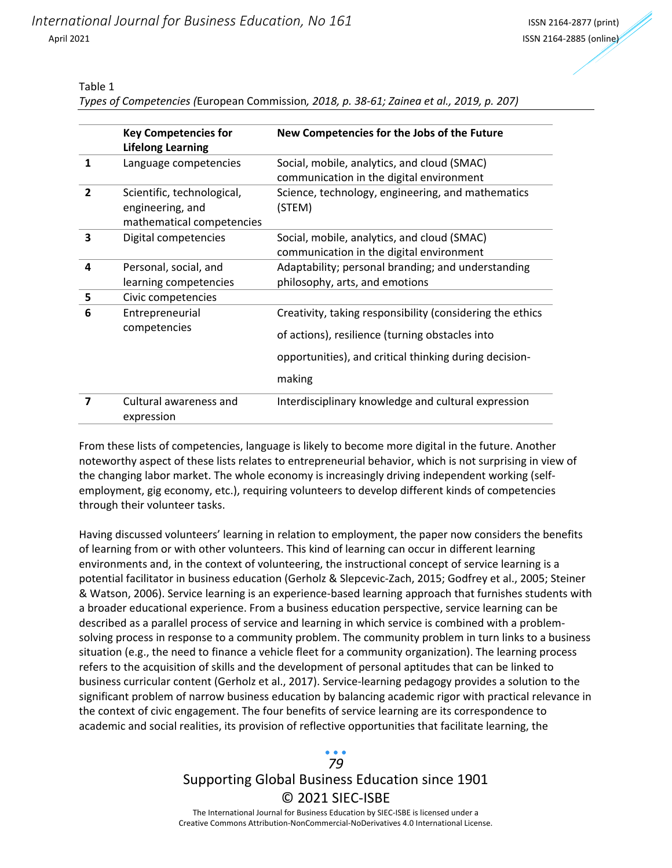#### Table 1

*Types of Competencies (*European Commission*, 2018, p. 38-61; Zainea et al., 2019, p. 207)*

|                | <b>Key Competencies for</b><br><b>Lifelong Learning</b>                     | New Competencies for the Jobs of the Future                                                                                                                                      |
|----------------|-----------------------------------------------------------------------------|----------------------------------------------------------------------------------------------------------------------------------------------------------------------------------|
| 1              | Language competencies                                                       | Social, mobile, analytics, and cloud (SMAC)<br>communication in the digital environment                                                                                          |
| $\overline{2}$ | Scientific, technological,<br>engineering, and<br>mathematical competencies | Science, technology, engineering, and mathematics<br>(STEM)                                                                                                                      |
| 3              | Digital competencies                                                        | Social, mobile, analytics, and cloud (SMAC)<br>communication in the digital environment                                                                                          |
| 4              | Personal, social, and<br>learning competencies                              | Adaptability; personal branding; and understanding<br>philosophy, arts, and emotions                                                                                             |
| 5              | Civic competencies                                                          |                                                                                                                                                                                  |
| 6              | Entrepreneurial<br>competencies                                             | Creativity, taking responsibility (considering the ethics<br>of actions), resilience (turning obstacles into<br>opportunities), and critical thinking during decision-<br>making |
| 7              | Cultural awareness and<br>expression                                        | Interdisciplinary knowledge and cultural expression                                                                                                                              |

From these lists of competencies, language is likely to become more digital in the future. Another noteworthy aspect of these lists relates to entrepreneurial behavior, which is not surprising in view of the changing labor market. The whole economy is increasingly driving independent working (selfemployment, gig economy, etc.), requiring volunteers to develop different kinds of competencies through their volunteer tasks.

Having discussed volunteers' learning in relation to employment, the paper now considers the benefits of learning from or with other volunteers. This kind of learning can occur in different learning environments and, in the context of volunteering, the instructional concept of service learning is a potential facilitator in business education (Gerholz & Slepcevic-Zach, 2015; Godfrey et al., 2005; Steiner & Watson, 2006). Service learning is an experience-based learning approach that furnishes students with a broader educational experience. From a business education perspective, service learning can be described as a parallel process of service and learning in which service is combined with a problemsolving process in response to a community problem. The community problem in turn links to a business situation (e.g., the need to finance a vehicle fleet for a community organization). The learning process refers to the acquisition of skills and the development of personal aptitudes that can be linked to business curricular content (Gerholz et al., 2017). Service-learning pedagogy provides a solution to the significant problem of narrow business education by balancing academic rigor with practical relevance in the context of civic engagement. The four benefits of service learning are its correspondence to academic and social realities, its provision of reflective opportunities that facilitate learning, the

# Supporting Global Business Education since 1901 © 2021 SIEC-ISBE *79*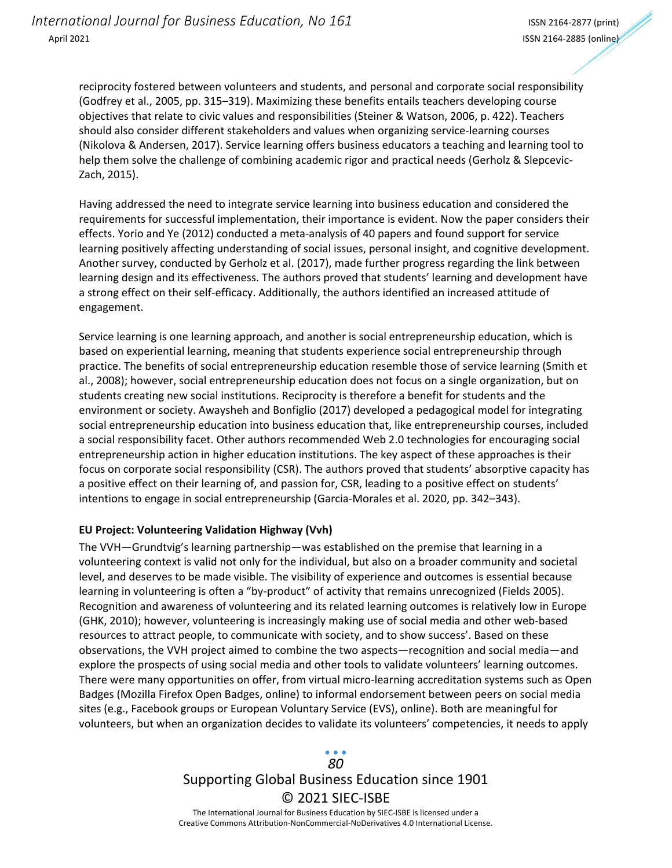reciprocity fostered between volunteers and students, and personal and corporate social responsibility (Godfrey et al., 2005, pp. 315–319). Maximizing these benefits entails teachers developing course objectives that relate to civic values and responsibilities (Steiner & Watson, 2006, p. 422). Teachers should also consider different stakeholders and values when organizing service-learning courses (Nikolova & Andersen, 2017). Service learning offers business educators a teaching and learning tool to help them solve the challenge of combining academic rigor and practical needs (Gerholz & Slepcevic-Zach, 2015).

Having addressed the need to integrate service learning into business education and considered the requirements for successful implementation, their importance is evident. Now the paper considers their effects. Yorio and Ye (2012) conducted a meta-analysis of 40 papers and found support for service learning positively affecting understanding of social issues, personal insight, and cognitive development. Another survey, conducted by Gerholz et al. (2017), made further progress regarding the link between learning design and its effectiveness. The authors proved that students' learning and development have a strong effect on their self-efficacy. Additionally, the authors identified an increased attitude of engagement.

Service learning is one learning approach, and another is social entrepreneurship education, which is based on experiential learning, meaning that students experience social entrepreneurship through practice. The benefits of social entrepreneurship education resemble those of service learning (Smith et al., 2008); however, social entrepreneurship education does not focus on a single organization, but on students creating new social institutions. Reciprocity is therefore a benefit for students and the environment or society. Awaysheh and Bonfiglio (2017) developed a pedagogical model for integrating social entrepreneurship education into business education that, like entrepreneurship courses, included a social responsibility facet. Other authors recommended Web 2.0 technologies for encouraging social entrepreneurship action in higher education institutions. The key aspect of these approaches is their focus on corporate social responsibility (CSR). The authors proved that students' absorptive capacity has a positive effect on their learning of, and passion for, CSR, leading to a positive effect on students' intentions to engage in social entrepreneurship (Garcia-Morales et al. 2020, pp. 342–343).

#### **EU Project: Volunteering Validation Highway (Vvh)**

The VVH—Grundtvig's learning partnership—was established on the premise that learning in a volunteering context is valid not only for the individual, but also on a broader community and societal level, and deserves to be made visible. The visibility of experience and outcomes is essential because learning in volunteering is often a "by-product" of activity that remains unrecognized (Fields 2005). Recognition and awareness of volunteering and its related learning outcomes is relatively low in Europe (GHK, 2010); however, volunteering is increasingly making use of social media and other web-based resources to attract people, to communicate with society, and to show success'. Based on these observations, the VVH project aimed to combine the two aspects—recognition and social media—and explore the prospects of using social media and other tools to validate volunteers' learning outcomes. There were many opportunities on offer, from virtual micro-learning accreditation systems such as Open Badges (Mozilla Firefox Open Badges, online) to informal endorsement between peers on social media sites (e.g., Facebook groups or European Voluntary Service (EVS), online). Both are meaningful for volunteers, but when an organization decides to validate its volunteers' competencies, it needs to apply

# Supporting Global Business Education since 1901 © 2021 SIEC-ISBE *80*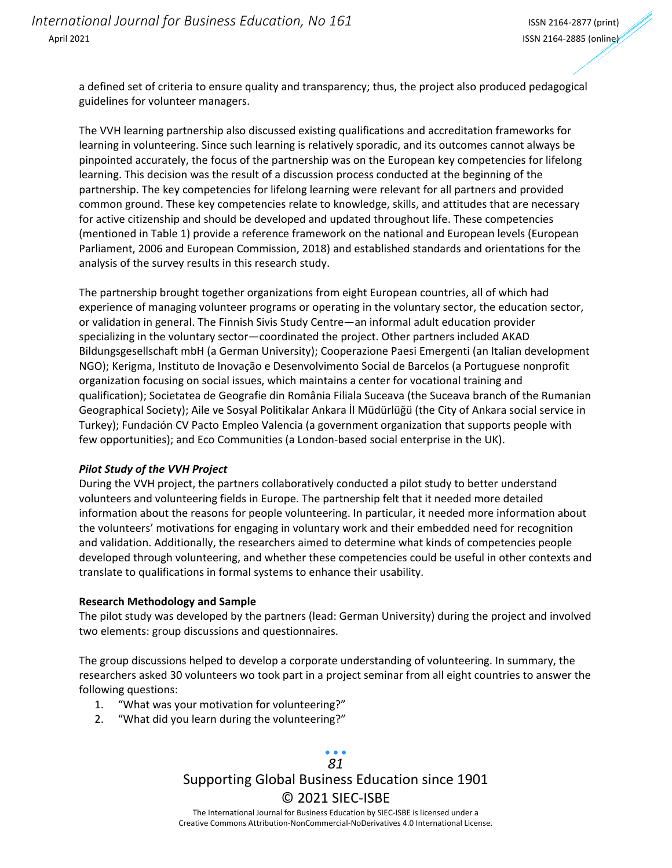a defined set of criteria to ensure quality and transparency; thus, the project also produced pedagogical guidelines for volunteer managers.

The VVH learning partnership also discussed existing qualifications and accreditation frameworks for learning in volunteering. Since such learning is relatively sporadic, and its outcomes cannot always be pinpointed accurately, the focus of the partnership was on the European key competencies for lifelong learning. This decision was the result of a discussion process conducted at the beginning of the partnership. The key competencies for lifelong learning were relevant for all partners and provided common ground. These key competencies relate to knowledge, skills, and attitudes that are necessary for active citizenship and should be developed and updated throughout life. These competencies (mentioned in Table 1) provide a reference framework on the national and European levels (European Parliament, 2006 and European Commission, 2018) and established standards and orientations for the analysis of the survey results in this research study.

The partnership brought together organizations from eight European countries, all of which had experience of managing volunteer programs or operating in the voluntary sector, the education sector, or validation in general. The Finnish Sivis Study Centre—an informal adult education provider specializing in the voluntary sector—coordinated the project. Other partners included AKAD Bildungsgesellschaft mbH (a German University); Cooperazione Paesi Emergenti (an Italian development NGO); Kerigma, Instituto de Inovação e Desenvolvimento Social de Barcelos (a Portuguese nonprofit organization focusing on social issues, which maintains a center for vocational training and qualification); Societatea de Geografie din România Filiala Suceava (the Suceava branch of the Rumanian Geographical Society); Aile ve Sosyal Politikalar Ankara İl Müdürlüğü (the City of Ankara social service in Turkey); Fundación CV Pacto Empleo Valencia (a government organization that supports people with few opportunities); and Eco Communities (a London-based social enterprise in the UK).

#### *Pilot Study of the VVH Project*

During the VVH project, the partners collaboratively conducted a pilot study to better understand volunteers and volunteering fields in Europe. The partnership felt that it needed more detailed information about the reasons for people volunteering. In particular, it needed more information about the volunteers' motivations for engaging in voluntary work and their embedded need for recognition and validation. Additionally, the researchers aimed to determine what kinds of competencies people developed through volunteering, and whether these competencies could be useful in other contexts and translate to qualifications in formal systems to enhance their usability.

#### **Research Methodology and Sample**

The pilot study was developed by the partners (lead: German University) during the project and involved two elements: group discussions and questionnaires.

The group discussions helped to develop a corporate understanding of volunteering. In summary, the researchers asked 30 volunteers wo took part in a project seminar from all eight countries to answer the following questions:

- 1. "What was your motivation for volunteering?"
- 2. "What did you learn during the volunteering?"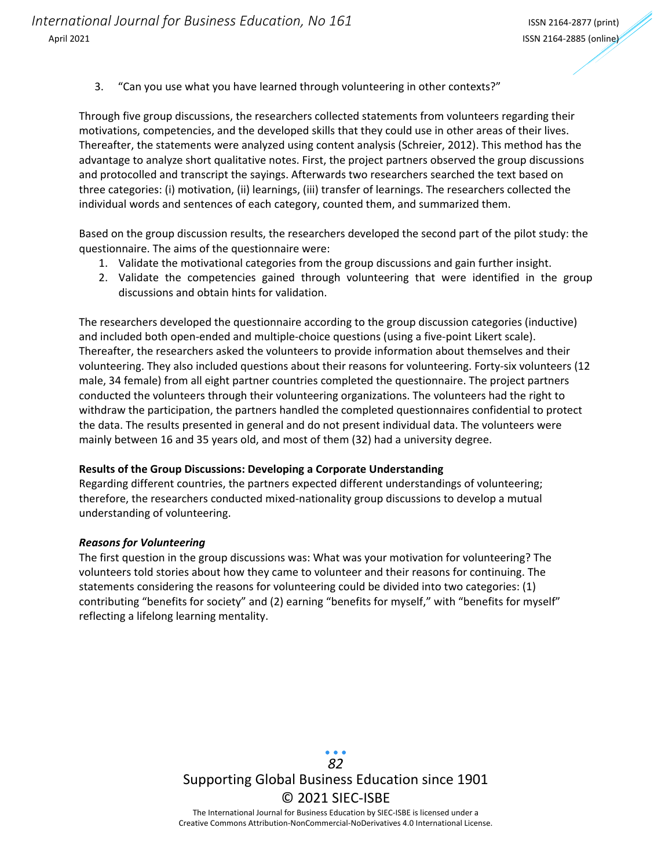3. "Can you use what you have learned through volunteering in other contexts?"

Through five group discussions, the researchers collected statements from volunteers regarding their motivations, competencies, and the developed skills that they could use in other areas of their lives. Thereafter, the statements were analyzed using content analysis (Schreier, 2012). This method has the advantage to analyze short qualitative notes. First, the project partners observed the group discussions and protocolled and transcript the sayings. Afterwards two researchers searched the text based on three categories: (i) motivation, (ii) learnings, (iii) transfer of learnings. The researchers collected the individual words and sentences of each category, counted them, and summarized them.

Based on the group discussion results, the researchers developed the second part of the pilot study: the questionnaire. The aims of the questionnaire were:

- 1. Validate the motivational categories from the group discussions and gain further insight.
- 2. Validate the competencies gained through volunteering that were identified in the group discussions and obtain hints for validation.

The researchers developed the questionnaire according to the group discussion categories (inductive) and included both open-ended and multiple-choice questions (using a five-point Likert scale). Thereafter, the researchers asked the volunteers to provide information about themselves and their volunteering. They also included questions about their reasons for volunteering. Forty-six volunteers (12 male, 34 female) from all eight partner countries completed the questionnaire. The project partners conducted the volunteers through their volunteering organizations. The volunteers had the right to withdraw the participation, the partners handled the completed questionnaires confidential to protect the data. The results presented in general and do not present individual data. The volunteers were mainly between 16 and 35 years old, and most of them (32) had a university degree.

#### **Results of the Group Discussions: Developing a Corporate Understanding**

Regarding different countries, the partners expected different understandings of volunteering; therefore, the researchers conducted mixed-nationality group discussions to develop a mutual understanding of volunteering.

#### *Reasons for Volunteering*

The first question in the group discussions was: What was your motivation for volunteering? The volunteers told stories about how they came to volunteer and their reasons for continuing. The statements considering the reasons for volunteering could be divided into two categories: (1) contributing "benefits for society" and (2) earning "benefits for myself," with "benefits for myself" reflecting a lifelong learning mentality.

> Supporting Global Business Education since 1901 © 2021 SIEC-ISBE The International Journal for Business Education by SIEC-ISBE is licensed under a *82*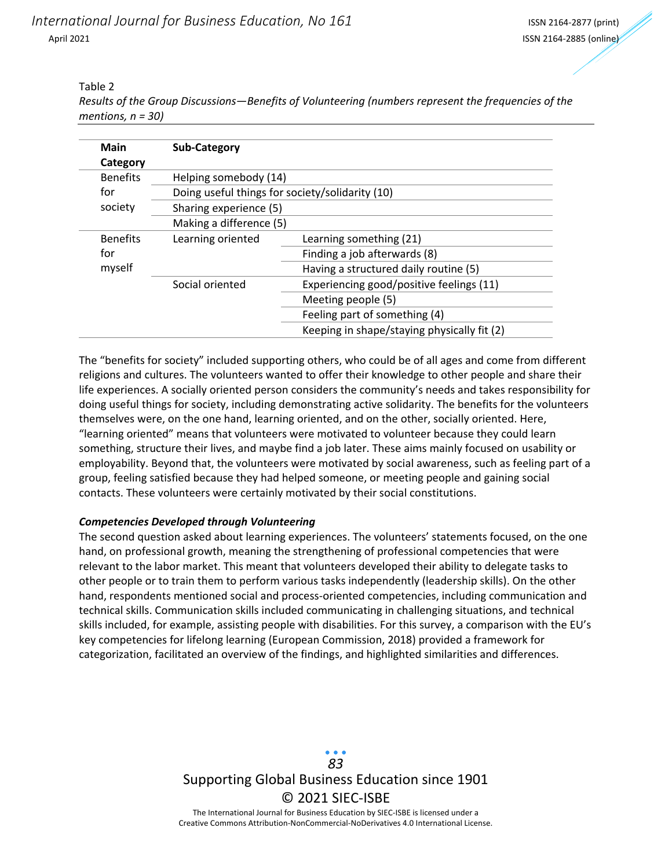*International Journal for Business Education, No 161* International ISSN 2164-2877 (print) April 2021 ISSN 2164-2885 (online)

#### Table 2

*Results of the Group Discussions—Benefits of Volunteering (numbers represent the frequencies of the mentions, n = 30)*

| <b>Main</b>     | <b>Sub-Category</b>                             |                                             |  |  |
|-----------------|-------------------------------------------------|---------------------------------------------|--|--|
| Category        |                                                 |                                             |  |  |
| <b>Benefits</b> | Helping somebody (14)                           |                                             |  |  |
| for             | Doing useful things for society/solidarity (10) |                                             |  |  |
| society         | Sharing experience (5)                          |                                             |  |  |
|                 | Making a difference (5)                         |                                             |  |  |
| <b>Benefits</b> | Learning oriented                               | Learning something (21)                     |  |  |
| for             |                                                 | Finding a job afterwards (8)                |  |  |
| myself          |                                                 | Having a structured daily routine (5)       |  |  |
|                 | Social oriented                                 | Experiencing good/positive feelings (11)    |  |  |
|                 |                                                 | Meeting people (5)                          |  |  |
|                 |                                                 | Feeling part of something (4)               |  |  |
|                 |                                                 | Keeping in shape/staying physically fit (2) |  |  |

The "benefits for society" included supporting others, who could be of all ages and come from different religions and cultures. The volunteers wanted to offer their knowledge to other people and share their life experiences. A socially oriented person considers the community's needs and takes responsibility for doing useful things for society, including demonstrating active solidarity. The benefits for the volunteers themselves were, on the one hand, learning oriented, and on the other, socially oriented. Here, "learning oriented" means that volunteers were motivated to volunteer because they could learn something, structure their lives, and maybe find a job later. These aims mainly focused on usability or employability. Beyond that, the volunteers were motivated by social awareness, such as feeling part of a group, feeling satisfied because they had helped someone, or meeting people and gaining social contacts. These volunteers were certainly motivated by their social constitutions.

#### *Competencies Developed through Volunteering*

The second question asked about learning experiences. The volunteers' statements focused, on the one hand, on professional growth, meaning the strengthening of professional competencies that were relevant to the labor market. This meant that volunteers developed their ability to delegate tasks to other people or to train them to perform various tasks independently (leadership skills). On the other hand, respondents mentioned social and process-oriented competencies, including communication and technical skills. Communication skills included communicating in challenging situations, and technical skills included, for example, assisting people with disabilities. For this survey, a comparison with the EU's key competencies for lifelong learning (European Commission, 2018) provided a framework for categorization, facilitated an overview of the findings, and highlighted similarities and differences.

> Supporting Global Business Education since 1901 © 2021 SIEC-ISBE The International Journal for Business Education by SIEC-ISBE is licensed under a *83*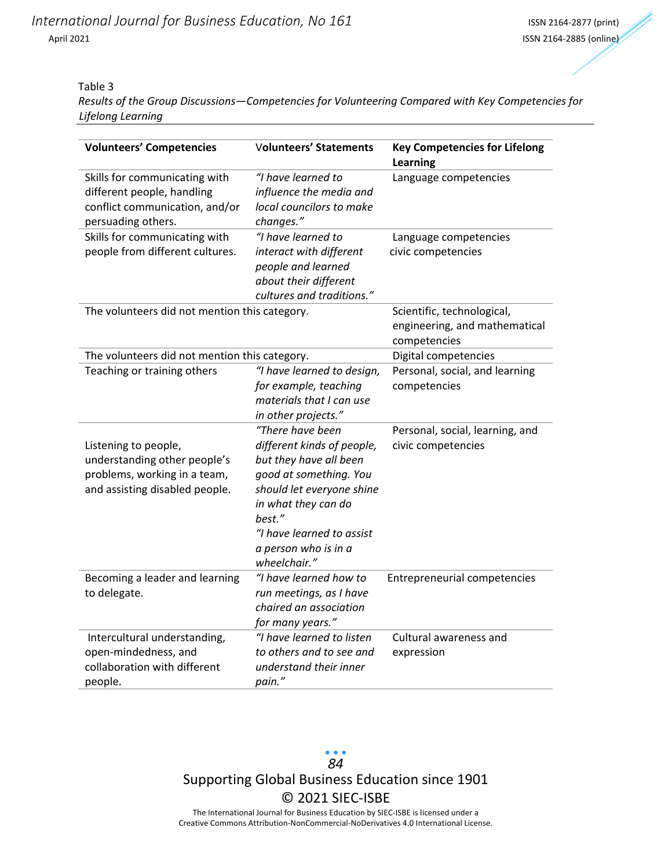#### Table 3

*Results of the Group Discussions—Competencies for Volunteering Compared with Key Competencies for Lifelong Learning*

| <b>Volunteers' Competencies</b>                                                                                        | <b>Volunteers' Statements</b>                                                                                                                                                                                                         | <b>Key Competencies for Lifelong</b><br><b>Learning</b> |
|------------------------------------------------------------------------------------------------------------------------|---------------------------------------------------------------------------------------------------------------------------------------------------------------------------------------------------------------------------------------|---------------------------------------------------------|
| Skills for communicating with<br>different people, handling<br>conflict communication, and/or<br>persuading others.    | "I have learned to<br>influence the media and<br>local councilors to make<br>changes."                                                                                                                                                | Language competencies                                   |
| Skills for communicating with<br>people from different cultures.                                                       | "I have learned to<br>interact with different<br>people and learned<br>about their different<br>cultures and traditions."                                                                                                             | Language competencies<br>civic competencies             |
| The volunteers did not mention this category.                                                                          | Scientific, technological,<br>engineering, and mathematical<br>competencies                                                                                                                                                           |                                                         |
| The volunteers did not mention this category.                                                                          |                                                                                                                                                                                                                                       | Digital competencies                                    |
| Teaching or training others                                                                                            | "I have learned to design,<br>for example, teaching<br>materials that I can use<br>in other projects."                                                                                                                                | Personal, social, and learning<br>competencies          |
| Listening to people,<br>understanding other people's<br>problems, working in a team,<br>and assisting disabled people. | "There have been<br>different kinds of people,<br>but they have all been<br>good at something. You<br>should let everyone shine<br>in what they can do<br>best."<br>"I have learned to assist<br>a person who is in a<br>wheelchair." | Personal, social, learning, and<br>civic competencies   |
| Becoming a leader and learning<br>to delegate.                                                                         | "I have learned how to<br>run meetings, as I have<br>chaired an association<br>for many years."                                                                                                                                       | Entrepreneurial competencies                            |
| Intercultural understanding,<br>open-mindedness, and<br>collaboration with different<br>people.                        | "I have learned to listen<br>to others and to see and<br>understand their inner<br>pain."                                                                                                                                             | Cultural awareness and<br>expression                    |

 $\bullet$   $\bullet$   $\bullet$ *84* Supporting Global Business Education since 1901 © 2021 SIEC-ISBE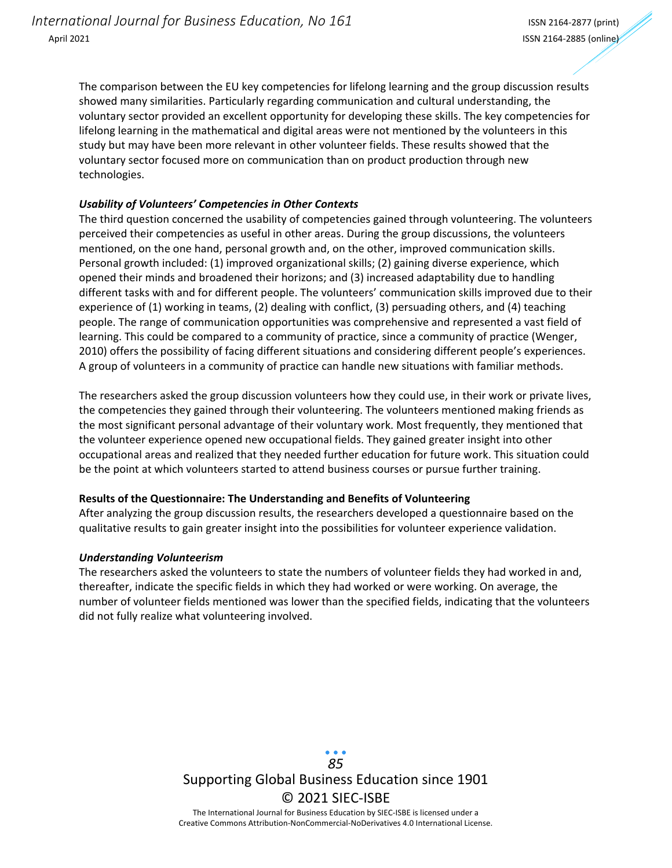The comparison between the EU key competencies for lifelong learning and the group discussion results showed many similarities. Particularly regarding communication and cultural understanding, the voluntary sector provided an excellent opportunity for developing these skills. The key competencies for lifelong learning in the mathematical and digital areas were not mentioned by the volunteers in this study but may have been more relevant in other volunteer fields. These results showed that the voluntary sector focused more on communication than on product production through new technologies.

#### *Usability of Volunteers' Competencies in Other Contexts*

The third question concerned the usability of competencies gained through volunteering. The volunteers perceived their competencies as useful in other areas. During the group discussions, the volunteers mentioned, on the one hand, personal growth and, on the other, improved communication skills. Personal growth included: (1) improved organizational skills; (2) gaining diverse experience, which opened their minds and broadened their horizons; and (3) increased adaptability due to handling different tasks with and for different people. The volunteers' communication skills improved due to their experience of (1) working in teams, (2) dealing with conflict, (3) persuading others, and (4) teaching people. The range of communication opportunities was comprehensive and represented a vast field of learning. This could be compared to a community of practice, since a community of practice (Wenger, 2010) offers the possibility of facing different situations and considering different people's experiences. A group of volunteers in a community of practice can handle new situations with familiar methods.

The researchers asked the group discussion volunteers how they could use, in their work or private lives, the competencies they gained through their volunteering. The volunteers mentioned making friends as the most significant personal advantage of their voluntary work. Most frequently, they mentioned that the volunteer experience opened new occupational fields. They gained greater insight into other occupational areas and realized that they needed further education for future work. This situation could be the point at which volunteers started to attend business courses or pursue further training.

#### **Results of the Questionnaire: The Understanding and Benefits of Volunteering**

After analyzing the group discussion results, the researchers developed a questionnaire based on the qualitative results to gain greater insight into the possibilities for volunteer experience validation.

#### *Understanding Volunteerism*

The researchers asked the volunteers to state the numbers of volunteer fields they had worked in and, thereafter, indicate the specific fields in which they had worked or were working. On average, the number of volunteer fields mentioned was lower than the specified fields, indicating that the volunteers did not fully realize what volunteering involved.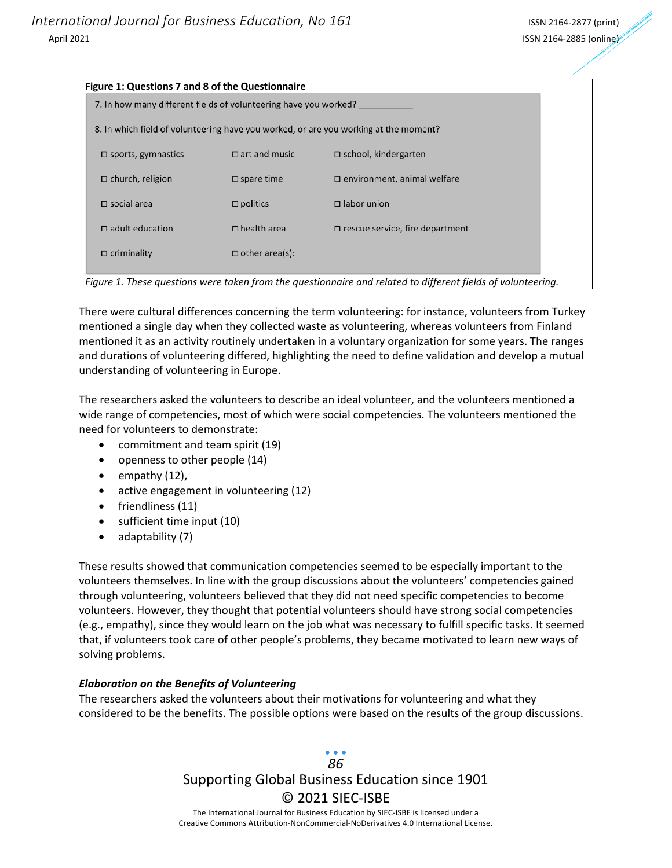| Figure 1: Questions 7 and 8 of the Questionnaire                 |                       |                                                                                                              |
|------------------------------------------------------------------|-----------------------|--------------------------------------------------------------------------------------------------------------|
| 7. In how many different fields of volunteering have you worked? |                       |                                                                                                              |
|                                                                  |                       | 8. In which field of volunteering have you worked, or are you working at the moment?                         |
| $\square$ sports, gymnastics                                     | $\Box$ art and music  | $\Box$ school, kindergarten                                                                                  |
| $\Box$ church, religion                                          | $\square$ spare time  | $\square$ environment, animal welfare                                                                        |
| $\square$ social area                                            | $\square$ politics    | $\Box$ labor union                                                                                           |
| $\Box$ adult education                                           | $\Box$ health area    | $\Box$ rescue service, fire department                                                                       |
| $\Box$ criminality                                               | $\Box$ other area(s): |                                                                                                              |
|                                                                  |                       | Figure 1. These questions were taken from the questionnaire and related to different fields of volunteering. |

There were cultural differences concerning the term volunteering: for instance, volunteers from Turkey mentioned a single day when they collected waste as volunteering, whereas volunteers from Finland mentioned it as an activity routinely undertaken in a voluntary organization for some years. The ranges and durations of volunteering differed, highlighting the need to define validation and develop a mutual understanding of volunteering in Europe.

The researchers asked the volunteers to describe an ideal volunteer, and the volunteers mentioned a wide range of competencies, most of which were social competencies. The volunteers mentioned the need for volunteers to demonstrate:

- commitment and team spirit (19)
- openness to other people (14)
- empathy (12),
- active engagement in volunteering (12)
- friendliness (11)
- sufficient time input (10)
- adaptability (7)

These results showed that communication competencies seemed to be especially important to the volunteers themselves. In line with the group discussions about the volunteers' competencies gained through volunteering, volunteers believed that they did not need specific competencies to become volunteers. However, they thought that potential volunteers should have strong social competencies (e.g., empathy), since they would learn on the job what was necessary to fulfill specific tasks. It seemed that, if volunteers took care of other people's problems, they became motivated to learn new ways of solving problems.

#### *Elaboration on the Benefits of Volunteering*

The researchers asked the volunteers about their motivations for volunteering and what they considered to be the benefits. The possible options were based on the results of the group discussions.

## Supporting Global Business Education since 1901 © 2021 SIEC-ISBE The International Journal for Business Education by SIEC-ISBE is licensed under a *86*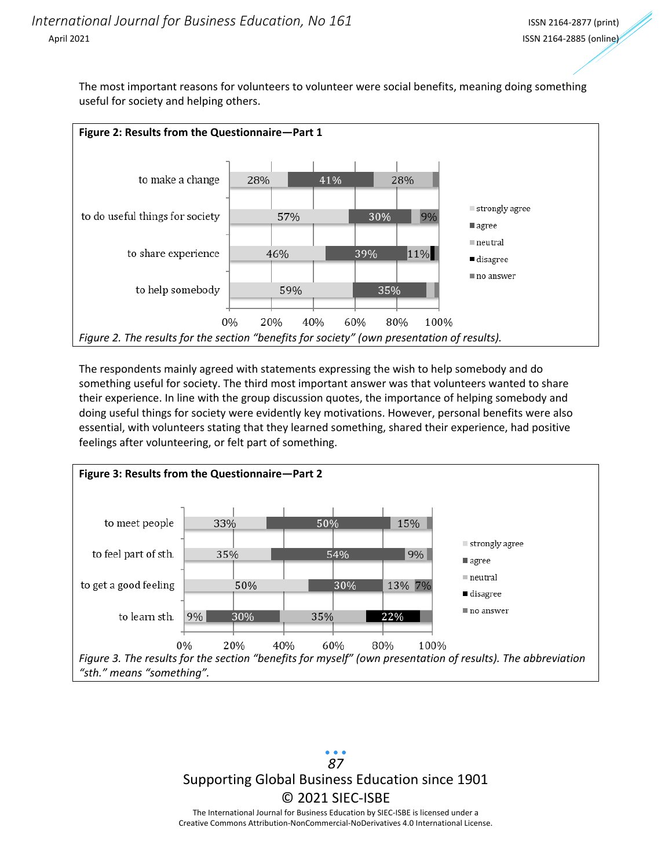The most important reasons for volunteers to volunteer were social benefits, meaning doing something useful for society and helping others.



The respondents mainly agreed with statements expressing the wish to help somebody and do something useful for society. The third most important answer was that volunteers wanted to share their experience. In line with the group discussion quotes, the importance of helping somebody and doing useful things for society were evidently key motivations. However, personal benefits were also essential, with volunteers stating that they learned something, shared their experience, had positive feelings after volunteering, or felt part of something.



Supporting Global Business Education since 1901 © 2021 SIEC-ISBE The International Journal for Business Education by SIEC-ISBE is licensed under a *87*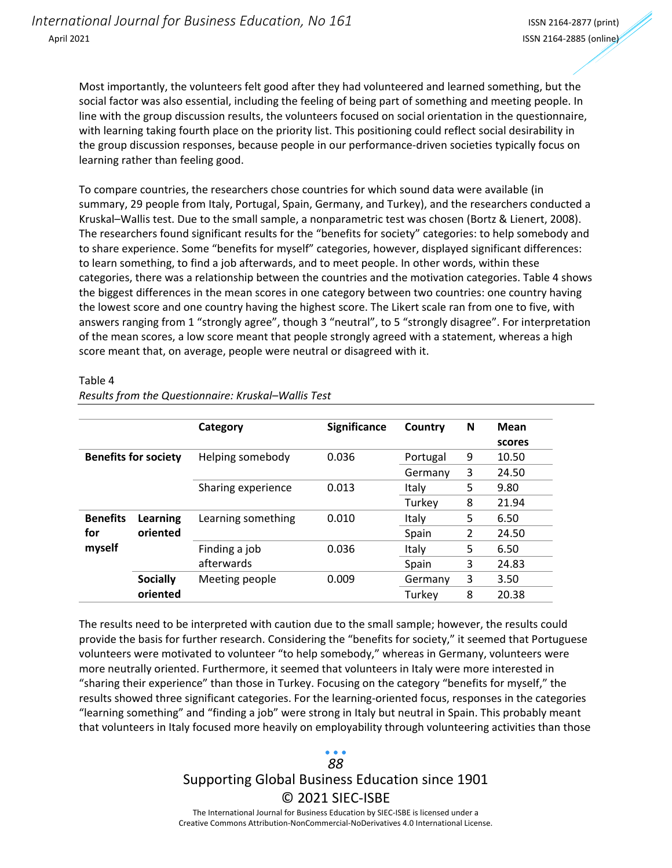Most importantly, the volunteers felt good after they had volunteered and learned something, but the social factor was also essential, including the feeling of being part of something and meeting people. In line with the group discussion results, the volunteers focused on social orientation in the questionnaire, with learning taking fourth place on the priority list. This positioning could reflect social desirability in the group discussion responses, because people in our performance-driven societies typically focus on learning rather than feeling good.

To compare countries, the researchers chose countries for which sound data were available (in summary, 29 people from Italy, Portugal, Spain, Germany, and Turkey), and the researchers conducted a Kruskal–Wallis test. Due to the small sample, a nonparametric test was chosen (Bortz & Lienert, 2008). The researchers found significant results for the "benefits for society" categories: to help somebody and to share experience. Some "benefits for myself" categories, however, displayed significant differences: to learn something, to find a job afterwards, and to meet people. In other words, within these categories, there was a relationship between the countries and the motivation categories. Table 4 shows the biggest differences in the mean scores in one category between two countries: one country having the lowest score and one country having the highest score. The Likert scale ran from one to five, with answers ranging from 1 "strongly agree", though 3 "neutral", to 5 "strongly disagree". For interpretation of the mean scores, a low score meant that people strongly agreed with a statement, whereas a high score meant that, on average, people were neutral or disagreed with it.

|                             |                 | Category           | <b>Significance</b> | Country  | N | <b>Mean</b> |
|-----------------------------|-----------------|--------------------|---------------------|----------|---|-------------|
|                             |                 |                    |                     |          |   | scores      |
| <b>Benefits for society</b> |                 | Helping somebody   | 0.036               | Portugal | 9 | 10.50       |
|                             |                 |                    |                     | Germany  | 3 | 24.50       |
|                             |                 | Sharing experience | 0.013               | Italy    | 5 | 9.80        |
|                             |                 |                    |                     | Turkey   | 8 | 21.94       |
| <b>Benefits</b>             | Learning        | Learning something | 0.010               | Italy    | 5 | 6.50        |
| for                         | oriented        |                    |                     | Spain    | 2 | 24.50       |
| myself                      |                 | Finding a job      | 0.036               | Italy    | 5 | 6.50        |
|                             |                 | afterwards         |                     | Spain    | 3 | 24.83       |
|                             | <b>Socially</b> | Meeting people     | 0.009               | Germany  | 3 | 3.50        |
|                             | oriented        |                    |                     | Turkey   | 8 | 20.38       |

Table 4

*Results from the Questionnaire: Kruskal–Wallis Test*

The results need to be interpreted with caution due to the small sample; however, the results could provide the basis for further research. Considering the "benefits for society," it seemed that Portuguese volunteers were motivated to volunteer "to help somebody," whereas in Germany, volunteers were more neutrally oriented. Furthermore, it seemed that volunteers in Italy were more interested in "sharing their experience" than those in Turkey. Focusing on the category "benefits for myself," the results showed three significant categories. For the learning-oriented focus, responses in the categories "learning something" and "finding a job" were strong in Italy but neutral in Spain. This probably meant that volunteers in Italy focused more heavily on employability through volunteering activities than those

# Supporting Global Business Education since 1901 © 2021 SIEC-ISBE *88*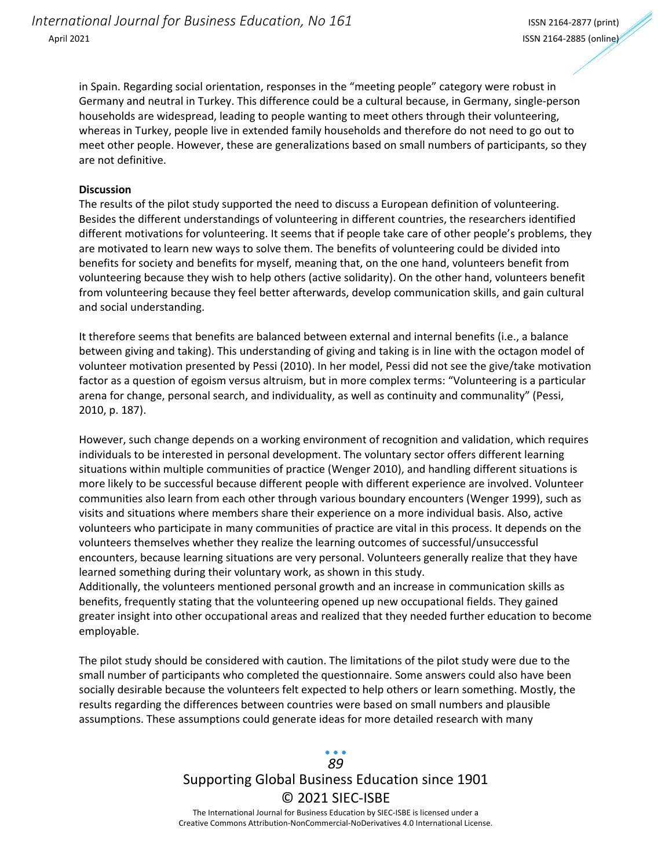in Spain. Regarding social orientation, responses in the "meeting people" category were robust in Germany and neutral in Turkey. This difference could be a cultural because, in Germany, single-person households are widespread, leading to people wanting to meet others through their volunteering, whereas in Turkey, people live in extended family households and therefore do not need to go out to meet other people. However, these are generalizations based on small numbers of participants, so they are not definitive.

#### **Discussion**

The results of the pilot study supported the need to discuss a European definition of volunteering. Besides the different understandings of volunteering in different countries, the researchers identified different motivations for volunteering. It seems that if people take care of other people's problems, they are motivated to learn new ways to solve them. The benefits of volunteering could be divided into benefits for society and benefits for myself, meaning that, on the one hand, volunteers benefit from volunteering because they wish to help others (active solidarity). On the other hand, volunteers benefit from volunteering because they feel better afterwards, develop communication skills, and gain cultural and social understanding.

It therefore seems that benefits are balanced between external and internal benefits (i.e., a balance between giving and taking). This understanding of giving and taking is in line with the octagon model of volunteer motivation presented by Pessi (2010). In her model, Pessi did not see the give/take motivation factor as a question of egoism versus altruism, but in more complex terms: "Volunteering is a particular arena for change, personal search, and individuality, as well as continuity and communality" (Pessi, 2010, p. 187).

However, such change depends on a working environment of recognition and validation, which requires individuals to be interested in personal development. The voluntary sector offers different learning situations within multiple communities of practice (Wenger 2010), and handling different situations is more likely to be successful because different people with different experience are involved. Volunteer communities also learn from each other through various boundary encounters (Wenger 1999), such as visits and situations where members share their experience on a more individual basis. Also, active volunteers who participate in many communities of practice are vital in this process. It depends on the volunteers themselves whether they realize the learning outcomes of successful/unsuccessful encounters, because learning situations are very personal. Volunteers generally realize that they have learned something during their voluntary work, as shown in this study.

Additionally, the volunteers mentioned personal growth and an increase in communication skills as benefits, frequently stating that the volunteering opened up new occupational fields. They gained greater insight into other occupational areas and realized that they needed further education to become employable.

The pilot study should be considered with caution. The limitations of the pilot study were due to the small number of participants who completed the questionnaire. Some answers could also have been socially desirable because the volunteers felt expected to help others or learn something. Mostly, the results regarding the differences between countries were based on small numbers and plausible assumptions. These assumptions could generate ideas for more detailed research with many

## Supporting Global Business Education since 1901 © 2021 SIEC-ISBE The International Journal for Business Education by SIEC-ISBE is licensed under a *89*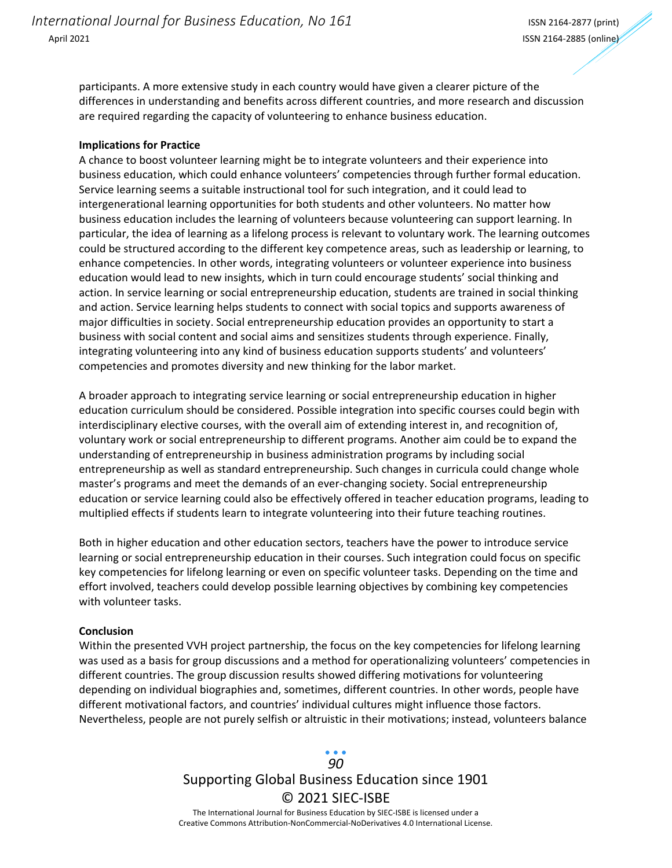participants. A more extensive study in each country would have given a clearer picture of the differences in understanding and benefits across different countries, and more research and discussion are required regarding the capacity of volunteering to enhance business education.

#### **Implications for Practice**

A chance to boost volunteer learning might be to integrate volunteers and their experience into business education, which could enhance volunteers' competencies through further formal education. Service learning seems a suitable instructional tool for such integration, and it could lead to intergenerational learning opportunities for both students and other volunteers. No matter how business education includes the learning of volunteers because volunteering can support learning. In particular, the idea of learning as a lifelong process is relevant to voluntary work. The learning outcomes could be structured according to the different key competence areas, such as leadership or learning, to enhance competencies. In other words, integrating volunteers or volunteer experience into business education would lead to new insights, which in turn could encourage students' social thinking and action. In service learning or social entrepreneurship education, students are trained in social thinking and action. Service learning helps students to connect with social topics and supports awareness of major difficulties in society. Social entrepreneurship education provides an opportunity to start a business with social content and social aims and sensitizes students through experience. Finally, integrating volunteering into any kind of business education supports students' and volunteers' competencies and promotes diversity and new thinking for the labor market.

A broader approach to integrating service learning or social entrepreneurship education in higher education curriculum should be considered. Possible integration into specific courses could begin with interdisciplinary elective courses, with the overall aim of extending interest in, and recognition of, voluntary work or social entrepreneurship to different programs. Another aim could be to expand the understanding of entrepreneurship in business administration programs by including social entrepreneurship as well as standard entrepreneurship. Such changes in curricula could change whole master's programs and meet the demands of an ever-changing society. Social entrepreneurship education or service learning could also be effectively offered in teacher education programs, leading to multiplied effects if students learn to integrate volunteering into their future teaching routines.

Both in higher education and other education sectors, teachers have the power to introduce service learning or social entrepreneurship education in their courses. Such integration could focus on specific key competencies for lifelong learning or even on specific volunteer tasks. Depending on the time and effort involved, teachers could develop possible learning objectives by combining key competencies with volunteer tasks.

#### **Conclusion**

Within the presented VVH project partnership, the focus on the key competencies for lifelong learning was used as a basis for group discussions and a method for operationalizing volunteers' competencies in different countries. The group discussion results showed differing motivations for volunteering depending on individual biographies and, sometimes, different countries. In other words, people have different motivational factors, and countries' individual cultures might influence those factors. Nevertheless, people are not purely selfish or altruistic in their motivations; instead, volunteers balance

### Supporting Global Business Education since 1901 © 2021 SIEC-ISBE The International Journal for Business Education by SIEC-ISBE is licensed under a *90*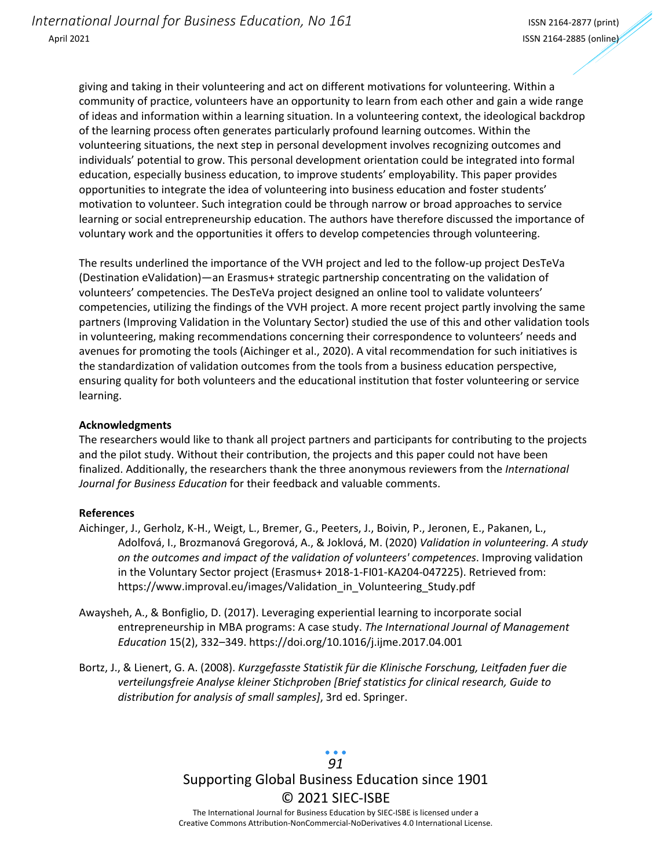giving and taking in their volunteering and act on different motivations for volunteering. Within a community of practice, volunteers have an opportunity to learn from each other and gain a wide range of ideas and information within a learning situation. In a volunteering context, the ideological backdrop of the learning process often generates particularly profound learning outcomes. Within the volunteering situations, the next step in personal development involves recognizing outcomes and individuals' potential to grow. This personal development orientation could be integrated into formal education, especially business education, to improve students' employability. This paper provides opportunities to integrate the idea of volunteering into business education and foster students' motivation to volunteer. Such integration could be through narrow or broad approaches to service learning or social entrepreneurship education. The authors have therefore discussed the importance of voluntary work and the opportunities it offers to develop competencies through volunteering.

The results underlined the importance of the VVH project and led to the follow-up project DesTeVa (Destination eValidation)—an Erasmus+ strategic partnership concentrating on the validation of volunteers' competencies. The DesTeVa project designed an online tool to validate volunteers' competencies, utilizing the findings of the VVH project. A more recent project partly involving the same partners (Improving Validation in the Voluntary Sector) studied the use of this and other validation tools in volunteering, making recommendations concerning their correspondence to volunteers' needs and avenues for promoting the tools (Aichinger et al., 2020). A vital recommendation for such initiatives is the standardization of validation outcomes from the tools from a business education perspective, ensuring quality for both volunteers and the educational institution that foster volunteering or service learning.

#### **Acknowledgments**

The researchers would like to thank all project partners and participants for contributing to the projects and the pilot study. Without their contribution, the projects and this paper could not have been finalized. Additionally, the researchers thank the three anonymous reviewers from the *International Journal for Business Education* for their feedback and valuable comments.

#### **References**

- Aichinger, J., Gerholz, K-H., Weigt, L., Bremer, G., Peeters, J., Boivin, P., Jeronen, E., Pakanen, L., Adolfová, I., Brozmanová Gregorová, A., & Joklová, M. (2020) *Validation in volunteering. A study on the outcomes and impact of the validation of volunteers' competences*. Improving validation in the Voluntary Sector project (Erasmus+ 2018-1-FI01-KA204-047225). Retrieved from: https://www.improval.eu/images/Validation\_in\_Volunteering\_Study.pdf
- Awaysheh, A., & Bonfiglio, D. (2017). Leveraging experiential learning to incorporate social entrepreneurship in MBA programs: A case study. *The International Journal of Management Education* 15(2), 332–349. https://doi.org/10.1016/j.ijme.2017.04.001
- Bortz, J., & Lienert, G. A. (2008). *Kurzgefasste Statistik für die Klinische Forschung, Leitfaden fuer die verteilungsfreie Analyse kleiner Stichproben [Brief statistics for clinical research, Guide to distribution for analysis of small samples]*, 3rd ed. Springer.

## Supporting Global Business Education since 1901 © 2021 SIEC-ISBE The International Journal for Business Education by SIEC-ISBE is licensed under a *91*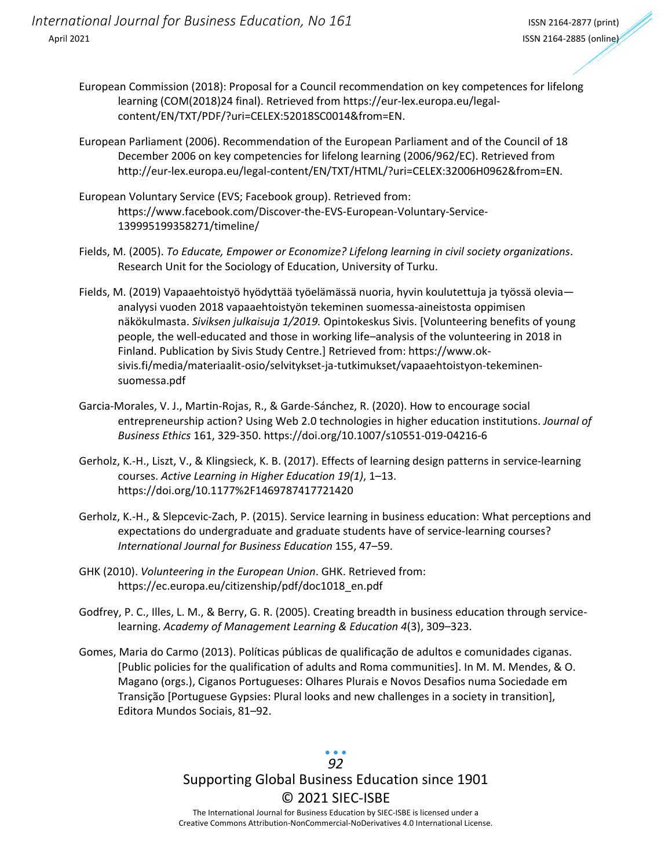*International Journal for Business Education, No 161* International ISSN 2164-2877 (print) April 2021 ISSN 2164-2885 (online)

- European Commission (2018): Proposal for a Council recommendation on key competences for lifelong learning (COM(2018)24 final). Retrieved from https://eur-lex.europa.eu/legalcontent/EN/TXT/PDF/?uri=CELEX:52018SC0014&from=EN.
- European Parliament (2006). Recommendation of the European Parliament and of the Council of 18 December 2006 on key competencies for lifelong learning (2006/962/EC). Retrieved from http://eur-lex.europa.eu/legal-content/EN/TXT/HTML/?uri=CELEX:32006H0962&from=EN.
- European Voluntary Service (EVS; Facebook group). Retrieved from: https://www.facebook.com/Discover-the-EVS-European-Voluntary-Service-139995199358271/timeline/
- Fields, M. (2005). *To Educate, Empower or Economize? Lifelong learning in civil society organizations*. Research Unit for the Sociology of Education, University of Turku.
- Fields, M. (2019) Vapaaehtoistyö hyödyttää työelämässä nuoria, hyvin koulutettuja ja työssä olevia analyysi vuoden 2018 vapaaehtoistyön tekeminen suomessa-aineistosta oppimisen näkökulmasta. *Siviksen julkaisuja 1/2019.* Opintokeskus Sivis. [Volunteering benefits of young people, the well-educated and those in working life–analysis of the volunteering in 2018 in Finland. Publication by Sivis Study Centre.] Retrieved from: https://www.oksivis.fi/media/materiaalit-osio/selvitykset-ja-tutkimukset/vapaaehtoistyon-tekeminensuomessa.pdf
- Garcia-Morales, V. J., Martin-Rojas, R., & Garde-Sánchez, R. (2020). How to encourage social entrepreneurship action? Using Web 2.0 technologies in higher education institutions. *Journal of Business Ethics* 161, 329-350. https://doi.org/10.1007/s10551-019-04216-6
- Gerholz, K.-H., Liszt, V., & Klingsieck, K. B. (2017). Effects of learning design patterns in service-learning courses. *Active Learning in Higher Education 19(1)*, 1–13. https://doi.org/10.1177%2F1469787417721420
- Gerholz, K.-H., & Slepcevic-Zach, P. (2015). Service learning in business education: What perceptions and expectations do undergraduate and graduate students have of service-learning courses? *International Journal for Business Education* 155, 47–59.
- GHK (2010). *Volunteering in the European Union*. GHK. Retrieved from: https://ec.europa.eu/citizenship/pdf/doc1018\_en.pdf
- Godfrey, P. C., Illes, L. M., & Berry, G. R. (2005). Creating breadth in business education through servicelearning. *Academy of Management Learning & Education 4*(3), 309–323.
- Gomes, Maria do Carmo (2013). Políticas públicas de qualificação de adultos e comunidades ciganas. [Public policies for the qualification of adults and Roma communities]. In M. M. Mendes, & O. Magano (orgs.), Ciganos Portugueses: Olhares Plurais e Novos Desafios numa Sociedade em Transição [Portuguese Gypsies: Plural looks and new challenges in a society in transition], Editora Mundos Sociais, 81–92.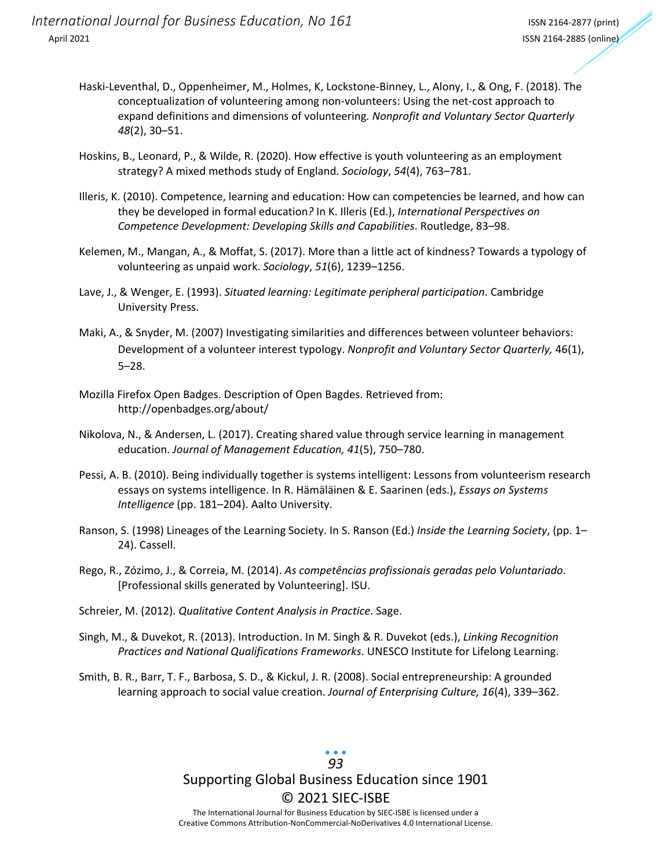- Haski-Leventhal, D., Oppenheimer, M., Holmes, K, Lockstone-Binney, L., Alony, I., & Ong, F. (2018). The conceptualization of volunteering among non-volunteers: Using the net-cost approach to expand definitions and dimensions of volunteering*. Nonprofit and Voluntary Sector Quarterly 48*(2), 30–51.
- Hoskins, B., Leonard, P., & Wilde, R. (2020). How effective is youth volunteering as an employment strategy? A mixed methods study of England. *Sociology*, *54*(4), 763–781.
- Illeris, K. (2010). Competence, learning and education: How can competencies be learned, and how can they be developed in formal education*?* In K. Illeris (Ed.), *International Perspectives on Competence Development: Developing Skills and Capabilities*. Routledge, 83–98.
- Kelemen, M., Mangan, A., & Moffat, S. (2017). More than a little act of kindness? Towards a typology of volunteering as unpaid work. *Sociology*, *51*(6), 1239–1256.
- Lave, J., & Wenger, E. (1993). *Situated learning: Legitimate peripheral participation*. Cambridge University Press.
- Maki, A., & Snyder, M. (2007) Investigating similarities and differences between volunteer behaviors: Development of a volunteer interest typology. *Nonprofit and Voluntary Sector Quarterly,* 46(1), 5–28.
- Mozilla Firefox Open Badges. Description of Open Bagdes. Retrieved from: http://openbadges.org/about/
- Nikolova, N., & Andersen, L. (2017). Creating shared value through service learning in management education. *Journal of Management Education, 41*(5), 750–780.
- Pessi, A. B. (2010). Being individually together is systems intelligent: Lessons from volunteerism research essays on systems intelligence. In R. Hämäläinen & E. Saarinen (eds.), *Essays on Systems Intelligence* (pp. 181–204). Aalto University.
- Ranson, S. (1998) Lineages of the Learning Society. In S. Ranson (Ed.) *Inside the Learning Society*, (pp. 1– 24). Cassell.
- Rego, R., Zózimo, J., & Correia, M. (2014). *As competências profissionais geradas pelo Voluntariado*. [Professional skills generated by Volunteering]. ISU.
- Schreier, M. (2012). *Qualitative Content Analysis in Practice*. Sage.
- Singh, M., & Duvekot, R. (2013). Introduction. In M. Singh & R. Duvekot (eds.), *Linking Recognition Practices and National Qualifications Frameworks*. UNESCO Institute for Lifelong Learning.
- Smith, B. R., Barr, T. F., Barbosa, S. D., & Kickul, J. R. (2008). Social entrepreneurship: A grounded learning approach to social value creation. *Journal of Enterprising Culture, 16*(4), 339–362.

# Supporting Global Business Education since 1901 © 2021 SIEC-ISBE *93*